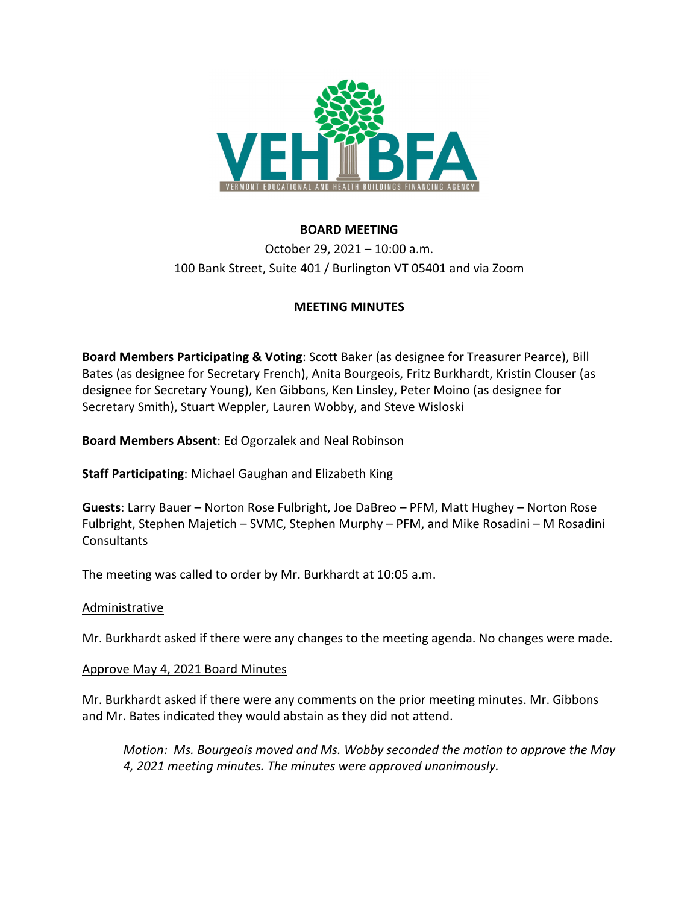

# **BOARD MEETING**

October 29, 2021 – 10:00 a.m. 100 Bank Street, Suite 401 / Burlington VT 05401 and via Zoom

# **MEETING MINUTES**

**Board Members Participating & Voting**: Scott Baker (as designee for Treasurer Pearce), Bill Bates (as designee for Secretary French), Anita Bourgeois, Fritz Burkhardt, Kristin Clouser (as designee for Secretary Young), Ken Gibbons, Ken Linsley, Peter Moino (as designee for Secretary Smith), Stuart Weppler, Lauren Wobby, and Steve Wisloski

**Board Members Absent**: Ed Ogorzalek and Neal Robinson

**Staff Participating**: Michael Gaughan and Elizabeth King

**Guests**: Larry Bauer – Norton Rose Fulbright, Joe DaBreo – PFM, Matt Hughey – Norton Rose Fulbright, Stephen Majetich – SVMC, Stephen Murphy – PFM, and Mike Rosadini – M Rosadini Consultants

The meeting was called to order by Mr. Burkhardt at 10:05 a.m.

### Administrative

Mr. Burkhardt asked if there were any changes to the meeting agenda. No changes were made.

### Approve May 4, 2021 Board Minutes

Mr. Burkhardt asked if there were any comments on the prior meeting minutes. Mr. Gibbons and Mr. Bates indicated they would abstain as they did not attend.

*Motion: Ms. Bourgeois moved and Ms. Wobby seconded the motion to approve the May 4, 2021 meeting minutes. The minutes were approved unanimously.*